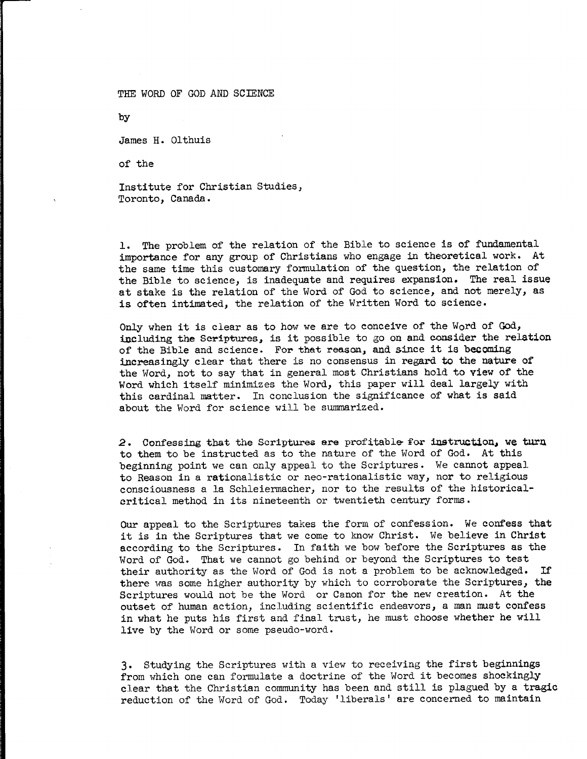THE WORD OF GOD AND SCIENCE

by

James H. Olthuis

of the

Institute for Christian Studies, Toronto, Canada.

1. The problem of the relation of the Bible to science is of fundamental importance for any group of Christians who engage in theoretical work. At the same time this customary formulation of the question, the relation of the Bible to science, is inadequate and requires expansion. The real issue at stake is the relation of the Word of God to science, and not merely, as is often intimated, the relation of the Written Word to science.

Only when it is clear as to how we are to conceive of the Word of God, including the Scriptures, is it possible to go on and consider the relation of the Bible and science. For that reason, and since it is becoming increasingly clear that there is no consensus in regard to the nature of the Word, not to say that in general most Christians hold to view of the Word which itself minimizes the Word, this paper will deal largely with this cardinal matter. In conclusion the significance of what is said about the Word for science will be summarized.

2. Confessing that the Scriptures are profitable for instruction, we turn to them to be instructed as to the nature of the Word of God. At this beginning point we can only appeal to the Scriptures. We cannot appeal to Reason in a rationalistic or neo-rationalistic way, nor to religious consciousness a la Schleiermacher, nor to the results of the historicalcritical method in its nineteenth or twentieth century forms.

Our appeal to the Scriptures takes the form of confession. We confess that it is in the Scriptures that we come to know Christ. We believe in Christ according to the Scriptures. In faith we bow before the Scriptures as the Word of God. That we cannot go behind or beyond the Scriptures to test their authority as the Word of God is not a problem to be acknowledged. If there was some higher authority by which to corroborate the Scriptures, the Scriptures would not be the Word or Canon for the new creation. At the outset of human action, including scientific endeavors, a man must confess in what he puts his first and final trust, he must choose whether he will live by the Word or some pseudo-word.

3. Studying the Scriptures with a view to receiving the first beginnings from which one can formulate a doctrine of the Word it becomes shockingly clear that the Christian community has been and still is plagued by a tragic reduction of the Word of God. Today 'liberals' are concerned to maintain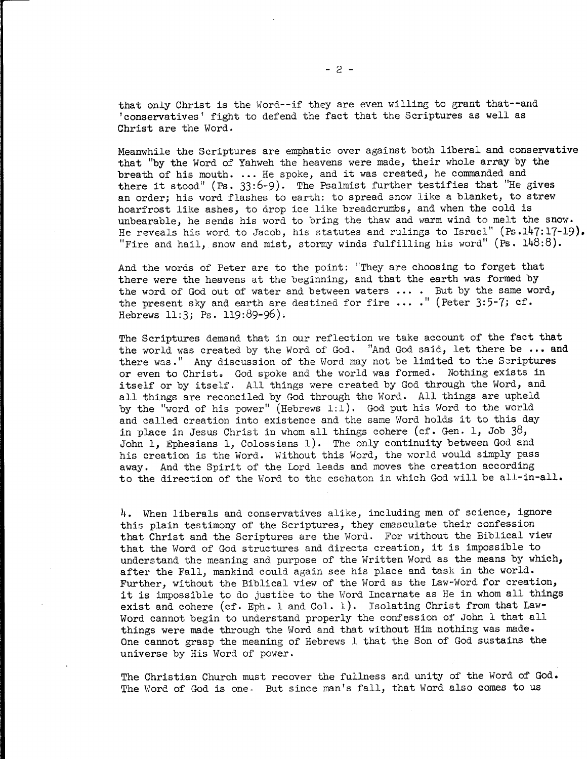Meanwhile the Scriptures are emphatic over against both liberal and conservative that "by the Word of Yahweh the heavens were made, their whole array by the breath of his mouth. ... He spoke, and it was created, he commanded and there it stood" (Ps. 33:6-9). The Psalmist further testifies that "He gives an order; his word flashes to earth: to spread snow like a blanket, to strew hoarfrost like ashes, to drop ice like breadcrumbs, and when the cold is unbearable, he sends his word to bring the thaw and warm wind to melt the snow. He reveals his word to Jacob, his statutes and rulings to Israel" (Ps.147:17-19). "Fire and hail, snow and mist, stormy winds fulfilling his word" (Ps. 148:8).

And the words of Peter are to the point: "They are choosing to forget that there were the heavens at the beginning, and that the earth was formed by the word of God out of water and between waters .... But by the same word, the present sky and earth are destined for fire ... ." (Peter 3:5-7; cf. Hebrews 11:3; Ps. 119:89-96).

The Scriptures demand that in our reflection we take account of the fact that the world was created by the Word of God. "And God said, let there be ... and there was." Any discussion of the Word may not be limited to the Scriptures or even to Christ. God spoke and the world was formed. Nothing exists in itself or by itself. All things were created by God through the Word, and all things are reconciled by God through the Word. All things are upheld by the "word of his power" (Hebrews 1:1). God put his Word to the world and called creation into existence and the same Word holds it to this day in place in Jesus Christ in whom all things cohere (cf. Gen. 1, Job  $38$ , John 1, Ephesians 1, Colossians 1). The only continuity between God and his creation is the Word. Without this Word, the world would simply pass away. And the Spirit of the Lord leads and moves the creation according to the direction of the Word to the eschaton in which God will be all-in-all.

4. When liberals and conservatives alike, including men of science, ignore this plain testimony of the Scriptures, they emasculate their confession that Christ and the Scriptures are the Word. For without the Biblical view that the Word of God structures and directs creation, it is impossible to understand the meaning and purpose of the Written Word as the means by which, after the Fall, mankind could again see his place and task in the world. Further, without the Biblical view of the Word as the Law-Word for creation, it is impossible to do justice to the Word Incarnate as He in whom all things exist and cohere (cf. Eph. 1 and Col. 1). Isolating Christ from that Law-Word cannot begin to understand properly the confession of John 1 that all things were made through the Word and that without Him nothing was made. One cannot grasp the meaning of Hebrews  $1$  that the Son of God sustains the universe by His Word of power.

The Christian Church must recover the fullness and unity of the Word of God. The Word of God is one. But since man's fall, that Word also comes to us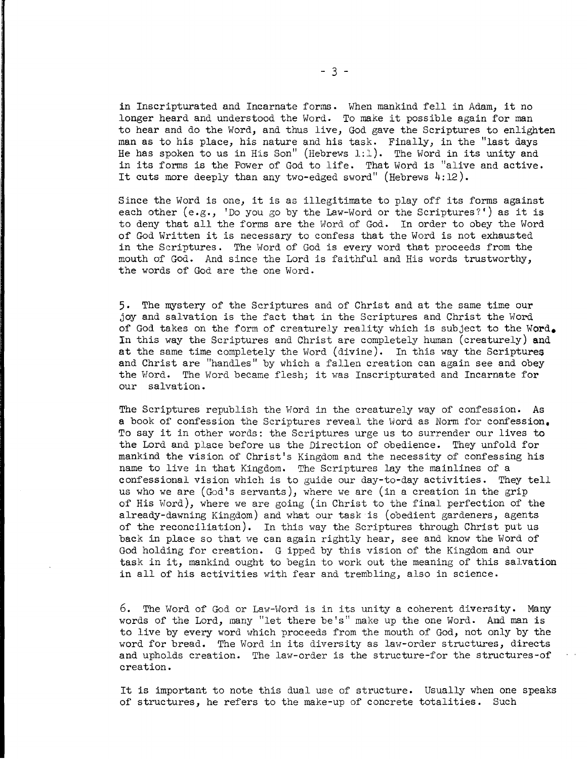in Inscripturated and Incarnate forms. When mankind fell in Adam, it no longer heard and understood the Word. To make it possible again for man to hear and do the Word, and thus live, God gave the Scriptures to enlighten man as to his place, his nature and his task. Finally, in the "last days He has spoken to us in His Son" (Hebrews 1:1). The Word in its unity and in its forms is the Power of God to life. That Word is "alive and active. It cuts more deeply than any two-edged sword" (Hebrews 4:12).

Since the Word is one, it is as illegitimate to play off its forms against each other  $(e.g., 'Do you go by the Law-Word or the Scriptures?')$  as it is to deny that all the forms are the Word of God. In order to obey the Word of God Written it is necessary to confess that the Word is not exhausted in the Scriptures. The Word of God is every word that proceeds from the mouth of God. And since the Lord is faithful and His words trustworthy, the words of God are the one Word.

5. The mystery of the Scriptures and of Christ and at the same time our joy and salvation is the fact that in the Scriptures and Christ the Word of God takes on the form of creaturely reality which is subject to the Word. In this way the Scriptures and Christ are completely human (creaturely) and at the same time completely the Word (divine). In this way the Scriptures and Christ are "handles" by which a fallen creation can again see and obey the Word. The Word became flesh; it was Inscripturated and Incarnate for our salvation.

The Scriptures republish the Word in the creaturely way of confession. As a book of confession the Scriptures reveal the Word as Norm for confession, To say it in other words: the Scriptures urge us to surrender our lives to the Lord and place before us the Direction of obedience. They unfold for mankind the vision of Christ's Kingdom and the necessity of confessing his name to live in that Kingdom. The Scriptures lay the mainlines of a confessional vision which is to guide our day-to-day activities. They tell us who we are (God's servants), where we are (in a creation in the grip of His Word), where we are going (in Christ to the final perfection of the already-dawning Kingdom) and what our task is (obedient gardeners, agents of the reconciliation). In this way the Scriptures through Christ put us back in place so that we can again rightly hear, see and know the Word of God holding for creation. G ipped by this vision of the Kingdom and our task in it, mankind ought to begin to work out the meaning of this salvation in all of his activities with fear and trembling, also in science.

6. The Word of God or Law-Word is in its unity a coherent diversity. Many words of the Lord, many "let there be's" make up the one Word. And man is to live by every word which proceeds from the mouth of God, not only by the word for bread. The Word in its diversity as law-order structures, directs and upholds creation. The law-order is the structure-for the structures-of creation.

It is important to note this dual use of structure. Usually when one speaks of structures, he refers to the make-up of concrete totalities. Such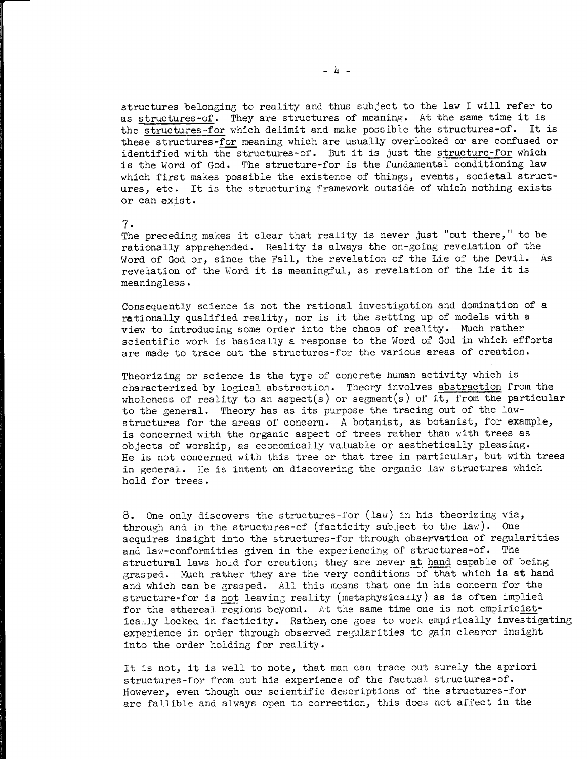structures belonging to reality and thus subject to the law I will refer to as structures-of. They are structures of meaning. At the same time it is the structures-for which delimit and make possible the structures-of. It is these structures-for meaning which are usually overlooked or are confused or identified with the structures-of. But it is just the structure-for which is the Word of God. The structure-for is the fundamental conditioning law which first makes possible the existence of things, events, societal structures, etc. It is the structuring framework outside of which nothing exists or can exist.

## 7.

The preceding makes it clear that reality is never just "out there," to be rationally apprehended. Reality is always the on-going revelation of the Word of God or, since the Fall, the revelation of the Lie of the Devil. As revelation of the Word it is meaningful, as revelation of the Lie it is meaningless.

Consequently science is not the rational investigation and domination of a rationally qualified reality, nor is it the setting up of models with a view to introducing some order into the chaos of reality. Much rather scientific work is basically a response to the Word of God in which efforts are made to trace out the structures-for the various areas of creation.

Theorizing or science is the type of concrete human activity which is characterized by logical abstraction. Theory involves abstraction from the wholeness of reality to an aspect(s) or segment(s) of it, from the particular to the general. Theory has as its purpose the tracing out of the lawstructures for the areas of concern. A botanist, as botanist, for example, is concerned with the organic aspect of trees rather than with trees as objects of worship, as economically valuable or aesthetically pleasing. He is not concerned with this tree or that tree in particular, but with trees in general. He is intent on discovering the organic law structures which hold for trees.

8. One only discovers the structures-for (law) in his theorizing via, through and in the structures-of (facticity subject to the law). One acquires insight into the structures-for through observation of regularities and law-conformities given in the experiencing of structures-of. The structural laws hold for creation; they are never at hand capable of being grasped. Much rather they are the very conditions of that which is at hand and which can be grasped. All this means that one in his concern for the structure-for is not leaving reality (metaphysically) as is often implied for the ethereal regions beyond. At the same time one is not empiricistically locked in facticity. Rather, one goes to work empirically investigating experience in order through observed regularities to gain clearer insight into the order holding for reality.

It is not, it is well to note, that man can trace out surely the apriori structures-for from out his experience of the factual structures-of. However, even though our scientific descriptions of the structures-for are fallible and always open to correction, this does not affect in the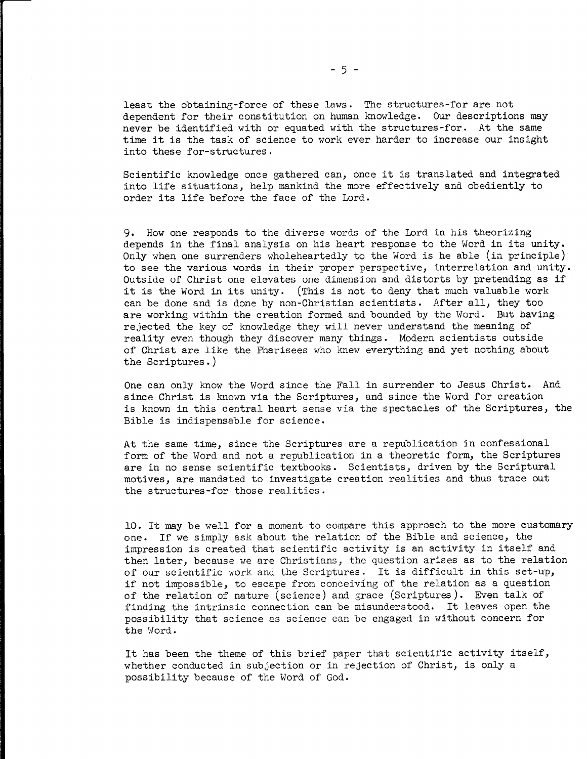least the obtaining-force of these laws. The structures-for are not dependent for their constitution on human knowledge. Our descriptions may never be identified with or equated with the structures-for. At the same time it is the task of science to work ever harder to increase our insight into these for-structures.

Scientific knowledge once gathered can, once it is translated and integrated into life situations, help mankind the more effectively and obediently to order its life before the face of the Lord.

9. How one responds to the diverse words of the Lord in his theorizing depends in the final analysis on his heart response to the Word in its unity. Only when one surrenders wholeheartedly to the Word is he able (in principle) to see the various words in their proper perspective, interrelation and unity. Outside of Christ one elevates one dimension and distorts by pretending as if it is the Word in its unity. (This is not to deny that much valuable work can be done and is done by non-Christian scientists. After all, they too are working within the creation formed and bounded by the Word. But having rejected the key of knowledge they will never understand the meaning of reality even though they discover many things. Modern scientists outside of Christ are like the Pharisees who knew everything and yet nothing about the Scriptures.)

One can only know the Word since the Fall in surrender to Jesus Christ. And since Christ is known via the Scriptures, and since the Word for creation is known in this central heart sense via the spectacles of the Scriptures, the Bible is indispensable for science.

At the same time, since the Scriptures are a republication in confessional form of the Word and not a republication in a theoretic form, the Scriptures are in no sense scientific textbooks. Scientists, driven by the Scriptural motives, are mandated to investigate creation realities and thus trace out the structures-for those realities.

10. It may be well for a moment to compare this approach to the more customary one. If we simply ask about the relation of the Bible and science, the impression is created that scientific activity is an activity in itself and then later, because we are Christians, the question arises as to the relation of our scientific work and the Scriptures. It is difficult in this set-up, if not impossible, to escape from conceiving of the relation as a question of the relation of nature (science) and grace (Scriptures). Even talk of finding the intrinsic connection can be misunderstood. It leaves open the possibility that science as science can be engaged in without concern for the Word.

It has been the theme of this brief paper that scientific activity itself, whether conducted in subjection or in rejection of Christ, is only a possibility because of the Word of God.